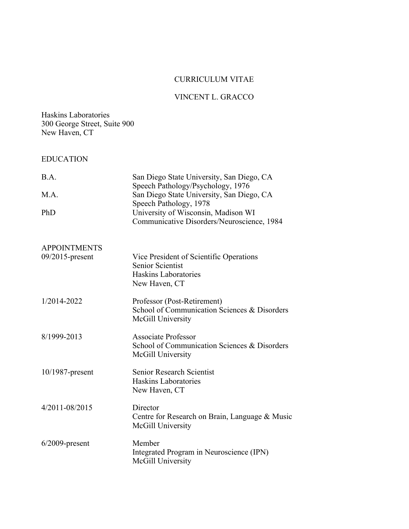# CURRICULUM VITAE

# VINCENT L. GRACCO

### Haskins Laboratories 300 George Street, Suite 900 New Haven, CT

# EDUCATION

| B.A.                | San Diego State University, San Diego, CA<br>Speech Pathology/Psychology, 1976                              |
|---------------------|-------------------------------------------------------------------------------------------------------------|
| M.A.                | San Diego State University, San Diego, CA<br>Speech Pathology, 1978                                         |
| PhD                 | University of Wisconsin, Madison WI<br>Communicative Disorders/Neuroscience, 1984                           |
| <b>APPOINTMENTS</b> |                                                                                                             |
| 09/2015-present     | Vice President of Scientific Operations<br><b>Senior Scientist</b><br>Haskins Laboratories<br>New Haven, CT |
| 1/2014-2022         | Professor (Post-Retirement)<br>School of Communication Sciences & Disorders<br>McGill University            |
| 8/1999-2013         | <b>Associate Professor</b><br>School of Communication Sciences & Disorders<br>McGill University             |
| $10/1987$ -present  | <b>Senior Research Scientist</b><br><b>Haskins Laboratories</b><br>New Haven, CT                            |
| 4/2011-08/2015      | Director<br>Centre for Research on Brain, Language & Music<br>McGill University                             |
| $6/2009$ -present   | Member<br>Integrated Program in Neuroscience (IPN)<br>McGill University                                     |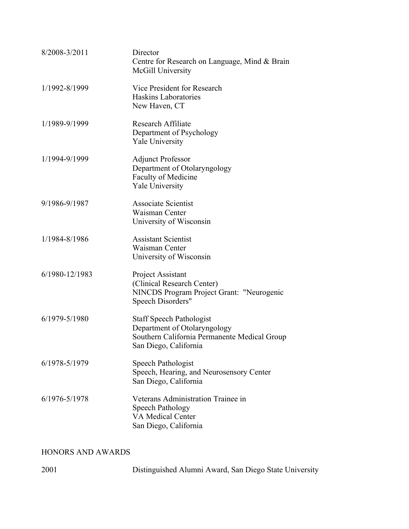| 8/2008-3/2011  | Director<br>Centre for Research on Language, Mind & Brain<br>McGill University                                                           |
|----------------|------------------------------------------------------------------------------------------------------------------------------------------|
| 1/1992-8/1999  | Vice President for Research<br>Haskins Laboratories<br>New Haven, CT                                                                     |
| 1/1989-9/1999  | Research Affiliate<br>Department of Psychology<br><b>Yale University</b>                                                                 |
| 1/1994-9/1999  | <b>Adjunct Professor</b><br>Department of Otolaryngology<br>Faculty of Medicine<br>Yale University                                       |
| 9/1986-9/1987  | Associate Scientist<br>Waisman Center<br>University of Wisconsin                                                                         |
| 1/1984-8/1986  | <b>Assistant Scientist</b><br>Waisman Center<br>University of Wisconsin                                                                  |
| 6/1980-12/1983 | Project Assistant<br>(Clinical Research Center)<br>NINCDS Program Project Grant: "Neurogenic<br>Speech Disorders"                        |
| 6/1979-5/1980  | <b>Staff Speech Pathologist</b><br>Department of Otolaryngology<br>Southern California Permanente Medical Group<br>San Diego, California |
| 6/1978-5/1979  | Speech Pathologist<br>Speech, Hearing, and Neurosensory Center<br>San Diego, California                                                  |
| 6/1976-5/1978  | Veterans Administration Trainee in<br>Speech Pathology<br><b>VA Medical Center</b><br>San Diego, California                              |

# HONORS AND AWARDS

| 2001 | Distinguished Alumni Award, San Diego State University |  |
|------|--------------------------------------------------------|--|
|      |                                                        |  |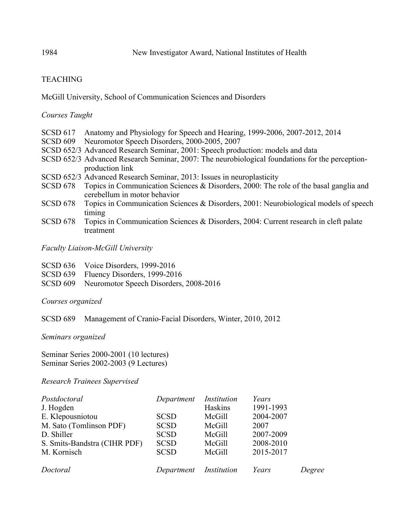# TEACHING

### McGill University, School of Communication Sciences and Disorders

### *Courses Taught*

- SCSD 617 Anatomy and Physiology for Speech and Hearing, 1999-2006, 2007-2012, 2014
- SCSD 609 Neuromotor Speech Disorders, 2000-2005, 2007
- SCSD 652/3 Advanced Research Seminar, 2001: Speech production: models and data
- SCSD 652/3 Advanced Research Seminar, 2007: The neurobiological foundations for the perceptionproduction link
- SCSD 652/3 Advanced Research Seminar, 2013: Issues in neuroplasticity
- SCSD 678 Topics in Communication Sciences & Disorders, 2000: The role of the basal ganglia and cerebellum in motor behavior
- SCSD 678 Topics in Communication Sciences & Disorders, 2001: Neurobiological models of speech timing
- SCSD 678 Topics in Communication Sciences & Disorders, 2004: Current research in cleft palate treatment

*Faculty Liaison-McGill University*

- SCSD 636 Voice Disorders, 1999-2016
- SCSD 639 Fluency Disorders, 1999-2016
- SCSD 609 Neuromotor Speech Disorders, 2008-2016

*Courses organized*

SCSD 689 Management of Cranio-Facial Disorders, Winter, 2010, 2012

*Seminars organized*

Seminar Series 2000-2001 (10 lectures) Seminar Series 2002-2003 (9 Lectures)

*Research Trainees Supervised*

| Postdoctoral<br>J. Hogden    | Department             | Institution<br>Haskins | Years<br>1991-1993 |        |
|------------------------------|------------------------|------------------------|--------------------|--------|
| E. Klepousniotou             | <b>SCSD</b>            | McGill                 | 2004-2007          |        |
| M. Sato (Tomlinson PDF)      | <b>SCSD</b>            | McGill                 | 2007               |        |
| D. Shiller                   | <b>SCSD</b>            | McGill                 | 2007-2009          |        |
| S. Smits-Bandstra (CIHR PDF) | <b>SCSD</b>            | McGill                 | 2008-2010          |        |
| M. Kornisch                  | <b>SCSD</b>            | McGill                 | 2015-2017          |        |
| Doctoral                     | Department Institution |                        | Years              | Degree |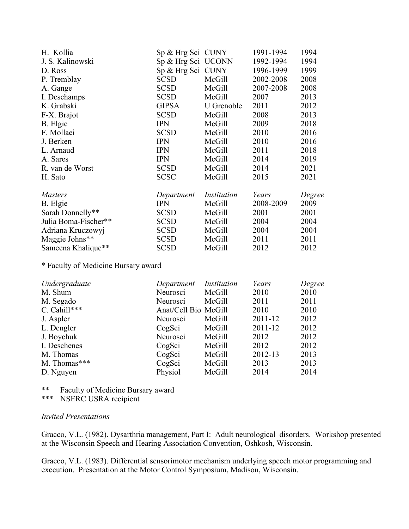| H. Kollia            | Sp & Hrg Sci CUNY  |             | 1991-1994 | 1994   |
|----------------------|--------------------|-------------|-----------|--------|
| J. S. Kalinowski     | Sp & Hrg Sci UCONN |             | 1992-1994 | 1994   |
| D. Ross              | Sp & Hrg Sci CUNY  |             | 1996-1999 | 1999   |
| P. Tremblay          | <b>SCSD</b>        | McGill      | 2002-2008 | 2008   |
| A. Gange             | <b>SCSD</b>        | McGill      | 2007-2008 | 2008   |
| I. Deschamps         | <b>SCSD</b>        | McGill      | 2007      | 2013   |
| K. Grabski           | <b>GIPSA</b>       | U Grenoble  | 2011      | 2012   |
| F-X. Brajot          | <b>SCSD</b>        | McGill      | 2008      | 2013   |
| B. Elgie             | <b>IPN</b>         | McGill      | 2009      | 2018   |
| F. Mollaei           | <b>SCSD</b>        | McGill      | 2010      | 2016   |
| J. Berken            | <b>IPN</b>         | McGill      | 2010      | 2016   |
| L. Arnaud            | <b>IPN</b>         | McGill      | 2011      | 2018   |
| A. Sares             | <b>IPN</b>         | McGill      | 2014      | 2019   |
| R. van de Worst      | <b>SCSD</b>        | McGill      | 2014      | 2021   |
| H. Sato              | <b>SCSC</b>        | McGill      | 2015      | 2021   |
| <i>Masters</i>       | Department         | Institution | Years     | Degree |
| B. Elgie             | <b>IPN</b>         | McGill      | 2008-2009 | 2009   |
| Sarah Donnelly**     | <b>SCSD</b>        | McGill      | 2001      | 2001   |
| Julia Boma-Fischer** | <b>SCSD</b>        | McGill      | 2004      | 2004   |
| Adriana Kruczowyj    | <b>SCSD</b>        | McGill      | 2004      | 2004   |
| Maggie Johns**       | <b>SCSD</b>        | McGill      | 2011      | 2011   |
| Sameena Khalique**   | <b>SCSD</b>        | McGill      | 2012      | 2012   |
|                      |                    |             |           |        |

\* Faculty of Medicine Bursary award

| Undergraduate | Department Institution |        | Years   | Degree |
|---------------|------------------------|--------|---------|--------|
| M. Shum       | Neurosci               | McGill | 2010    | 2010   |
| M. Segado     | Neurosci               | McGill | 2011    | 2011   |
| C. Cahill***  | Anat/Cell Bio McGill   |        | 2010    | 2010   |
| J. Aspler     | Neurosci               | McGill | 2011-12 | 2012   |
| L. Dengler    | CogSci                 | McGill | 2011-12 | 2012   |
| J. Boychuk    | Neurosci               | McGill | 2012    | 2012   |
| I. Deschenes  | CogSci                 | McGill | 2012    | 2012   |
| M. Thomas     | CogSci                 | McGill | 2012-13 | 2013   |
| M. Thomas***  | CogSci                 | McGill | 2013    | 2013   |
| D. Nguyen     | Physiol                | McGill | 2014    | 2014   |

\*\* Faculty of Medicine Bursary award<br>\*\*\* NSERC USRA recinient NSERC USRA recipient

### *Invited Presentations*

Gracco, V.L. (1982). Dysarthria management, Part I: Adult neurological disorders. Workshop presented at the Wisconsin Speech and Hearing Association Convention, Oshkosh, Wisconsin.

Gracco, V.L. (1983). Differential sensorimotor mechanism underlying speech motor programming and execution. Presentation at the Motor Control Symposium, Madison, Wisconsin.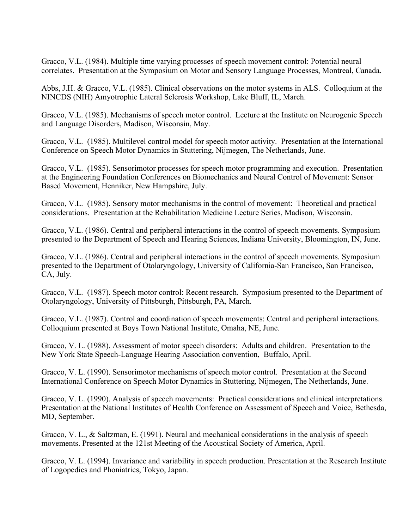Gracco, V.L. (1984). Multiple time varying processes of speech movement control: Potential neural correlates. Presentation at the Symposium on Motor and Sensory Language Processes, Montreal, Canada.

Abbs, J.H. & Gracco, V.L. (1985). Clinical observations on the motor systems in ALS. Colloquium at the NINCDS (NIH) Amyotrophic Lateral Sclerosis Workshop, Lake Bluff, IL, March.

Gracco, V.L. (1985). Mechanisms of speech motor control. Lecture at the Institute on Neurogenic Speech and Language Disorders, Madison, Wisconsin, May.

Gracco, V.L. (1985). Multilevel control model for speech motor activity. Presentation at the International Conference on Speech Motor Dynamics in Stuttering, Nijmegen, The Netherlands, June.

Gracco, V.L. (1985). Sensorimotor processes for speech motor programming and execution. Presentation at the Engineering Foundation Conferences on Biomechanics and Neural Control of Movement: Sensor Based Movement, Henniker, New Hampshire, July.

Gracco, V.L. (1985). Sensory motor mechanisms in the control of movement: Theoretical and practical considerations. Presentation at the Rehabilitation Medicine Lecture Series, Madison, Wisconsin.

Gracco, V.L. (1986). Central and peripheral interactions in the control of speech movements. Symposium presented to the Department of Speech and Hearing Sciences, Indiana University, Bloomington, IN, June.

Gracco, V.L. (1986). Central and peripheral interactions in the control of speech movements. Symposium presented to the Department of Otolaryngology, University of California-San Francisco, San Francisco, CA, July.

Gracco, V.L. (1987). Speech motor control: Recent research. Symposium presented to the Department of Otolaryngology, University of Pittsburgh, Pittsburgh, PA, March.

Gracco, V.L. (1987). Control and coordination of speech movements: Central and peripheral interactions. Colloquium presented at Boys Town National Institute, Omaha, NE, June.

Gracco, V. L. (1988). Assessment of motor speech disorders: Adults and children. Presentation to the New York State Speech-Language Hearing Association convention, Buffalo, April.

Gracco, V. L. (1990). Sensorimotor mechanisms of speech motor control. Presentation at the Second International Conference on Speech Motor Dynamics in Stuttering, Nijmegen, The Netherlands, June.

Gracco, V. L. (1990). Analysis of speech movements: Practical considerations and clinical interpretations. Presentation at the National Institutes of Health Conference on Assessment of Speech and Voice, Bethesda, MD, September.

Gracco, V. L., & Saltzman, E. (1991). Neural and mechanical considerations in the analysis of speech movements. Presented at the 121st Meeting of the Acoustical Society of America, April.

Gracco, V. L. (1994). Invariance and variability in speech production. Presentation at the Research Institute of Logopedics and Phoniatrics, Tokyo, Japan.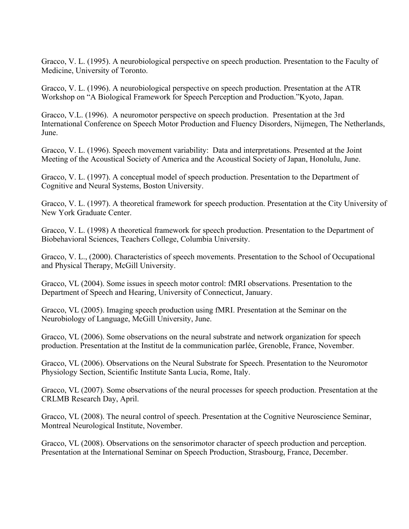Gracco, V. L. (1995). A neurobiological perspective on speech production. Presentation to the Faculty of Medicine, University of Toronto.

Gracco, V. L. (1996). A neurobiological perspective on speech production. Presentation at the ATR Workshop on "A Biological Framework for Speech Perception and Production."Kyoto, Japan.

Gracco, V.L. (1996). A neuromotor perspective on speech production. Presentation at the 3rd International Conference on Speech Motor Production and Fluency Disorders, Nijmegen, The Netherlands, June.

Gracco, V. L. (1996). Speech movement variability: Data and interpretations. Presented at the Joint Meeting of the Acoustical Society of America and the Acoustical Society of Japan, Honolulu, June.

Gracco, V. L. (1997). A conceptual model of speech production. Presentation to the Department of Cognitive and Neural Systems, Boston University.

Gracco, V. L. (1997). A theoretical framework for speech production. Presentation at the City University of New York Graduate Center.

Gracco, V. L. (1998) A theoretical framework for speech production. Presentation to the Department of Biobehavioral Sciences, Teachers College, Columbia University.

Gracco, V. L., (2000). Characteristics of speech movements. Presentation to the School of Occupational and Physical Therapy, McGill University.

Gracco, VL (2004). Some issues in speech motor control: fMRI observations. Presentation to the Department of Speech and Hearing, University of Connecticut, January.

Gracco, VL (2005). Imaging speech production using fMRI. Presentation at the Seminar on the Neurobiology of Language, McGill University, June.

Gracco, VL (2006). Some observations on the neural substrate and network organization for speech production. Presentation at the Institut de la communication parlée, Grenoble, France, November.

Gracco, VL (2006). Observations on the Neural Substrate for Speech. Presentation to the Neuromotor Physiology Section, Scientific Institute Santa Lucia, Rome, Italy.

Gracco, VL (2007). Some observations of the neural processes for speech production. Presentation at the CRLMB Research Day, April.

Gracco, VL (2008). The neural control of speech. Presentation at the Cognitive Neuroscience Seminar, Montreal Neurological Institute, November.

Gracco, VL (2008). Observations on the sensorimotor character of speech production and perception. Presentation at the International Seminar on Speech Production, Strasbourg, France, December.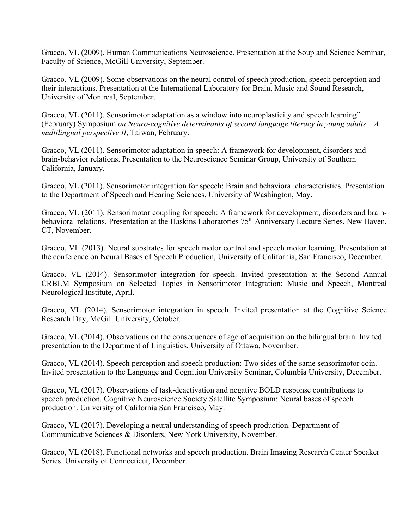Gracco, VL (2009). Human Communications Neuroscience. Presentation at the Soup and Science Seminar, Faculty of Science, McGill University, September.

Gracco, VL (2009). Some observations on the neural control of speech production, speech perception and their interactions. Presentation at the International Laboratory for Brain, Music and Sound Research, University of Montreal, September.

Gracco, VL (2011). Sensorimotor adaptation as a window into neuroplasticity and speech learning" (February) Symposium *on Neuro-cognitive determinants of second language literacy in young adults – A multilingual perspective II*, Taiwan, February.

Gracco, VL (2011). Sensorimotor adaptation in speech: A framework for development, disorders and brain-behavior relations. Presentation to the Neuroscience Seminar Group, University of Southern California, January.

Gracco, VL (2011). Sensorimotor integration for speech: Brain and behavioral characteristics. Presentation to the Department of Speech and Hearing Sciences, University of Washington, May.

Gracco, VL (2011). Sensorimotor coupling for speech: A framework for development, disorders and brainbehavioral relations. Presentation at the Haskins Laboratories 75<sup>th</sup> Anniversary Lecture Series, New Haven, CT, November.

Gracco, VL (2013). Neural substrates for speech motor control and speech motor learning. Presentation at the conference on Neural Bases of Speech Production, University of California, San Francisco, December.

Gracco, VL (2014). Sensorimotor integration for speech. Invited presentation at the Second Annual CRBLM Symposium on Selected Topics in Sensorimotor Integration: Music and Speech, Montreal Neurological Institute, April.

Gracco, VL (2014). Sensorimotor integration in speech. Invited presentation at the Cognitive Science Research Day, McGill University, October.

Gracco, VL (2014). Observations on the consequences of age of acquisition on the bilingual brain. Invited presentation to the Department of Linguistics, University of Ottawa, November.

Gracco, VL (2014). Speech perception and speech production: Two sides of the same sensorimotor coin. Invited presentation to the Language and Cognition University Seminar, Columbia University, December.

Gracco, VL (2017). Observations of task-deactivation and negative BOLD response contributions to speech production. Cognitive Neuroscience Society Satellite Symposium: Neural bases of speech production. University of California San Francisco, May.

Gracco, VL (2017). Developing a neural understanding of speech production. Department of Communicative Sciences & Disorders, New York University, November.

Gracco, VL (2018). Functional networks and speech production. Brain Imaging Research Center Speaker Series. University of Connecticut, December.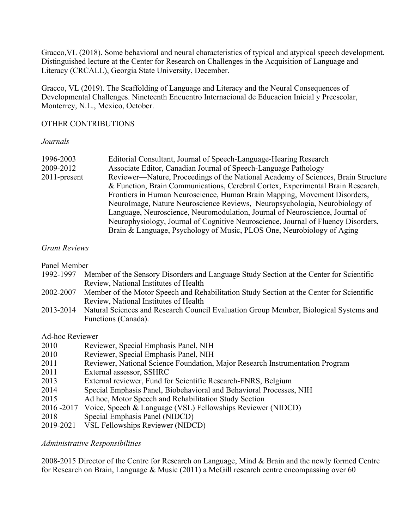Gracco,VL (2018). Some behavioral and neural characteristics of typical and atypical speech development. Distinguished lecture at the Center for Research on Challenges in the Acquisition of Language and Literacy (CRCALL), Georgia State University, December.

Gracco, VL (2019). The Scaffolding of Language and Literacy and the Neural Consequences of Developmental Challenges. Nineteenth Encuentro Internacional de Educacion Inicial y Preescolar, Monterrey, N.L., Mexico, October.

### OTHER CONTRIBUTIONS

### *Journals*

| 1996-2003    | Editorial Consultant, Journal of Speech-Language-Hearing Research                 |
|--------------|-----------------------------------------------------------------------------------|
| 2009-2012    | Associate Editor, Canadian Journal of Speech-Language Pathology                   |
| 2011-present | Reviewer—Nature, Proceedings of the National Academy of Sciences, Brain Structure |
|              | & Function, Brain Communications, Cerebral Cortex, Experimental Brain Research,   |
|              | Frontiers in Human Neuroscience, Human Brain Mapping, Movement Disorders,         |
|              | NeuroImage, Nature Neuroscience Reviews, Neuropsychologia, Neurobiology of        |
|              | Language, Neuroscience, Neuromodulation, Journal of Neuroscience, Journal of      |
|              | Neurophysiology, Journal of Cognitive Neuroscience, Journal of Fluency Disorders, |
|              | Brain & Language, Psychology of Music, PLOS One, Neurobiology of Aging            |
|              |                                                                                   |

### *Grant Reviews*

Panel Member

- 1992-1997 Member of the Sensory Disorders and Language Study Section at the Center for Scientific Review, National Institutes of Health
- 2002-2007 Member of the Motor Speech and Rehabilitation Study Section at the Center for Scientific Review, National Institutes of Health
- 2013-2014 Natural Sciences and Research Council Evaluation Group Member, Biological Systems and Functions (Canada).

### Ad-hoc Reviewer

| 2010 | Reviewer, Special Emphasis Panel, NIH |  |  |
|------|---------------------------------------|--|--|
|      |                                       |  |  |

- 2010 Reviewer, Special Emphasis Panel, NIH
- 2011 Reviewer, National Science Foundation, Major Research Instrumentation Program
- 2011 External assessor, SSHRC
- 2013 External reviewer, Fund for Scientific Research-FNRS, Belgium
- 2014 Special Emphasis Panel, Biobehavioral and Behavioral Processes, NIH
- 2015 Ad hoc, Motor Speech and Rehabilitation Study Section
- 2016 -2017 Voice, Speech & Language (VSL) Fellowships Reviewer (NIDCD)
- 2018 Special Emphasis Panel (NIDCD)
- 2019-2021 VSL Fellowships Reviewer (NIDCD)

# *Administrative Responsibilities*

2008-2015 Director of the Centre for Research on Language, Mind & Brain and the newly formed Centre for Research on Brain, Language & Music (2011) a McGill research centre encompassing over 60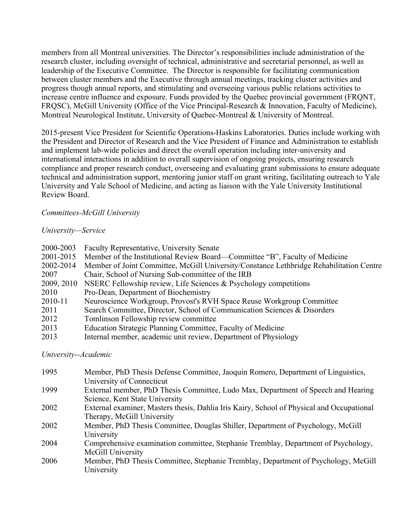members from all Montreal universities. The Director's responsibilities include administration of the research cluster, including oversight of technical, administrative and secretarial personnel, as well as leadership of the Executive Committee. The Director is responsible for facilitating communication between cluster members and the Executive through annual meetings, tracking cluster activities and progress though annual reports, and stimulating and overseeing various public relations activities to increase centre influence and exposure. Funds provided by the Quebec provincial government (FRQNT, FRQSC), McGill University (Office of the Vice Principal-Research & Innovation, Faculty of Medicine), Montreal Neurological Institute, University of Quebec-Montreal & University of Montreal.

2015-present Vice President for Scientific Operations-Haskins Laboratories. Duties include working with the President and Director of Research and the Vice President of Finance and Administration to establish and implement lab-wide policies and direct the overall operation including inter-university and international interactions in addition to overall supervision of ongoing projects, ensuring research compliance and proper research conduct, overseeing and evaluating grant submissions to ensure adequate technical and administration support, mentoring junior staff on grant writing, facilitating outreach to Yale University and Yale School of Medicine, and acting as liaison with the Yale University Institutional Review Board.

### *Committees-McGill University*

### *University—Service*

| Faculty Representative, University Senate                                               |
|-----------------------------------------------------------------------------------------|
| Member of the Institutional Review Board—Committee "B", Faculty of Medicine             |
| Member of Joint Committee, McGill University/Constance Lethbridge Rehabilitation Centre |
| Chair, School of Nursing Sub-committee of the IRB                                       |
| NSERC Fellowship review, Life Sciences & Psychology competitions                        |
| Pro-Dean, Department of Biochemistry                                                    |
| Neuroscience Workgroup, Provost's RVH Space Reuse Workgroup Committee                   |
| Search Committee, Director, School of Communication Sciences & Disorders                |
| Tomlinson Fellowship review committee                                                   |
| Education Strategic Planning Committee, Faculty of Medicine                             |
| Internal member, academic unit review, Department of Physiology                         |
|                                                                                         |

*University--Academic*

| 1995 | Member, PhD Thesis Defense Committee, Jaoquin Romero, Department of Linguistics,          |
|------|-------------------------------------------------------------------------------------------|
|      | University of Connecticut                                                                 |
| 1999 | External member, PhD Thesis Committee, Ludo Max, Department of Speech and Hearing         |
|      | Science, Kent State University                                                            |
| 2002 | External examiner, Masters thesis, Dahlia Iris Kairy, School of Physical and Occupational |
|      | Therapy, McGill University                                                                |
| 2002 | Member, PhD Thesis Committee, Douglas Shiller, Department of Psychology, McGill           |
|      | University                                                                                |
| 2004 | Comprehensive examination committee, Stephanie Tremblay, Department of Psychology,        |
|      | McGill University                                                                         |
| 2006 | Member, PhD Thesis Committee, Stephanie Tremblay, Department of Psychology, McGill        |
|      | University                                                                                |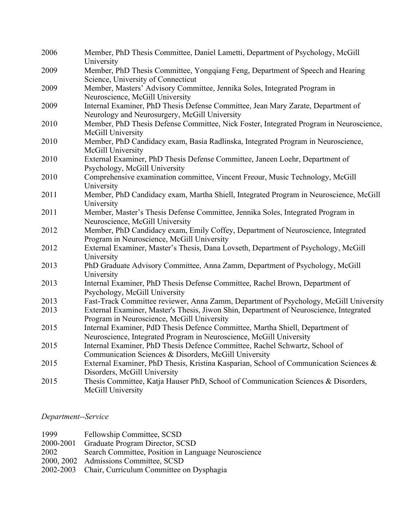| 2006 | Member, PhD Thesis Committee, Daniel Lametti, Department of Psychology, McGill<br>University                                                         |
|------|------------------------------------------------------------------------------------------------------------------------------------------------------|
| 2009 | Member, PhD Thesis Committee, Yongqiang Feng, Department of Speech and Hearing<br>Science, University of Connecticut                                 |
| 2009 | Member, Masters' Advisory Committee, Jennika Soles, Integrated Program in<br>Neuroscience, McGill University                                         |
| 2009 | Internal Examiner, PhD Thesis Defense Committee, Jean Mary Zarate, Department of<br>Neurology and Neurosurgery, McGill University                    |
| 2010 | Member, PhD Thesis Defense Committee, Nick Foster, Integrated Program in Neuroscience,<br>McGill University                                          |
| 2010 | Member, PhD Candidacy exam, Basia Radlinska, Integrated Program in Neuroscience,<br>McGill University                                                |
| 2010 | External Examiner, PhD Thesis Defense Committee, Janeen Loehr, Department of<br>Psychology, McGill University                                        |
| 2010 | Comprehensive examination committee, Vincent Freour, Music Technology, McGill<br>University                                                          |
| 2011 | Member, PhD Candidacy exam, Martha Shiell, Integrated Program in Neuroscience, McGill<br>University                                                  |
| 2011 | Member, Master's Thesis Defense Committee, Jennika Soles, Integrated Program in<br>Neuroscience, McGill University                                   |
| 2012 | Member, PhD Candidacy exam, Emily Coffey, Department of Neuroscience, Integrated<br>Program in Neuroscience, McGill University                       |
| 2012 | External Examiner, Master's Thesis, Dana Lovseth, Department of Psychology, McGill<br>University                                                     |
| 2013 | PhD Graduate Advisory Committee, Anna Zamm, Department of Psychology, McGill<br>University                                                           |
| 2013 | Internal Examiner, PhD Thesis Defense Committee, Rachel Brown, Department of<br>Psychology, McGill University                                        |
| 2013 | Fast-Track Committee reviewer, Anna Zamm, Department of Psychology, McGill University                                                                |
| 2013 | External Examiner, Master's Thesis, Jiwon Shin, Department of Neuroscience, Integrated<br>Program in Neuroscience, McGill University                 |
| 2015 | Internal Examiner, PdD Thesis Defence Committee, Martha Shiell, Department of<br>Neuroscience, Integrated Program in Neuroscience, McGill University |
| 2015 | Internal Examiner, PhD Thesis Defence Committee, Rachel Schwartz, School of<br>Communication Sciences & Disorders, McGill University                 |
| 2015 | External Examiner, PhD Thesis, Kristina Kasparian, School of Communication Sciences &<br>Disorders, McGill University                                |
| 2015 | Thesis Committee, Katja Hauser PhD, School of Communication Sciences & Disorders,<br>McGill University                                               |

*Department--Service*

| 1999      | Fellowship Committee, SCSD                          |
|-----------|-----------------------------------------------------|
| 2000-2001 | Graduate Program Director, SCSD                     |
| 2002      | Search Committee, Position in Language Neuroscience |
|           | 2000, 2002 Admissions Committee, SCSD               |
|           | 2002-2003 Chair, Curriculum Committee on Dysphagia  |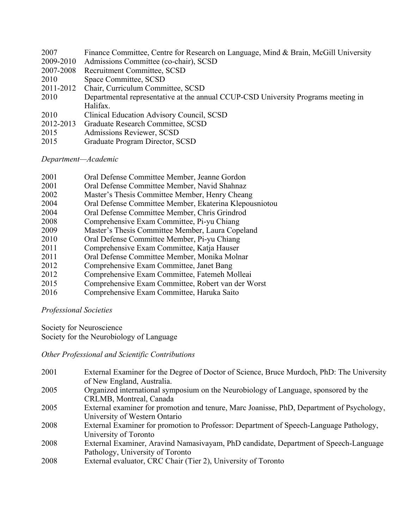| Finance Committee, Centre for Research on Language, Mind & Brain, McGill University |
|-------------------------------------------------------------------------------------|
| Admissions Committee (co-chair), SCSD                                               |
| Recruitment Committee, SCSD                                                         |
| Space Committee, SCSD                                                               |
| Chair, Curriculum Committee, SCSD                                                   |
| Departmental representative at the annual CCUP-CSD University Programs meeting in   |
| Halifax.                                                                            |
| Clinical Education Advisory Council, SCSD                                           |
| Graduate Research Committee, SCSD                                                   |
| Admissions Reviewer, SCSD                                                           |
| Graduate Program Director, SCSD                                                     |
|                                                                                     |

*Department—Academic*

| 2001 | Oral Defense Committee Member, Jeanne Gordon           |
|------|--------------------------------------------------------|
| 2001 | Oral Defense Committee Member, Navid Shahnaz           |
| 2002 | Master's Thesis Committee Member, Henry Cheang         |
| 2004 | Oral Defense Committee Member, Ekaterina Klepousniotou |
| 2004 | Oral Defense Committee Member, Chris Grindrod          |
| 2008 | Comprehensive Exam Committee, Pi-yu Chiang             |
| 2009 | Master's Thesis Committee Member, Laura Copeland       |
| 2010 | Oral Defense Committee Member, Pi-yu Chiang            |
| 2011 | Comprehensive Exam Committee, Katja Hauser             |
| 2011 | Oral Defense Committee Member, Monika Molnar           |
| 2012 | Comprehensive Exam Committee, Janet Bang               |
| 2012 | Comprehensive Exam Committee, Fatemeh Molleai          |
| 2015 | Comprehensive Exam Committee, Robert van der Worst     |
| 2016 | Comprehensive Exam Committee, Haruka Saito             |

*Professional Societies*

Society for Neuroscience Society for the Neurobiology of Language

*Other Professional and Scientific Contributions*

| 2001 | External Examiner for the Degree of Doctor of Science, Bruce Murdoch, PhD: The University |
|------|-------------------------------------------------------------------------------------------|
|      | of New England, Australia.                                                                |
| 2005 | Organized international symposium on the Neurobiology of Language, sponsored by the       |
|      | CRLMB, Montreal, Canada                                                                   |
| 2005 | External examiner for promotion and tenure, Marc Joanisse, PhD, Department of Psychology, |
|      | University of Western Ontario                                                             |
| 2008 | External Examiner for promotion to Professor: Department of Speech-Language Pathology,    |
|      | University of Toronto                                                                     |
| 2008 | External Examiner, Aravind Namasivayam, PhD candidate, Department of Speech-Language      |
|      | Pathology, University of Toronto                                                          |
| 2008 | External evaluator, CRC Chair (Tier 2), University of Toronto                             |
|      |                                                                                           |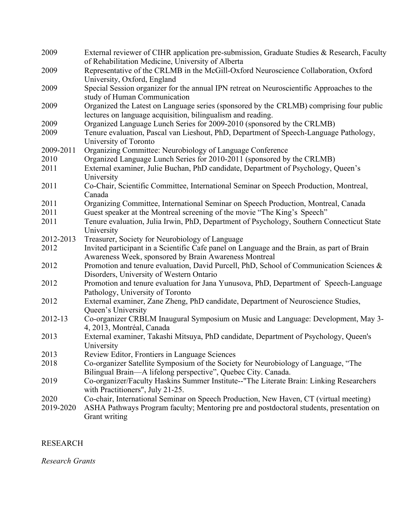| 2009      | External reviewer of CIHR application pre-submission, Graduate Studies & Research, Faculty<br>of Rehabilitation Medicine, University of Alberta        |
|-----------|--------------------------------------------------------------------------------------------------------------------------------------------------------|
| 2009      | Representative of the CRLMB in the McGill-Oxford Neuroscience Collaboration, Oxford<br>University, Oxford, England                                     |
| 2009      | Special Session organizer for the annual IPN retreat on Neuroscientific Approaches to the<br>study of Human Communication                              |
| 2009      | Organized the Latest on Language series (sponsored by the CRLMB) comprising four public<br>lectures on language acquisition, bilingualism and reading. |
| 2009      | Organized Language Lunch Series for 2009-2010 (sponsored by the CRLMB)                                                                                 |
| 2009      | Tenure evaluation, Pascal van Lieshout, PhD, Department of Speech-Language Pathology,<br>University of Toronto                                         |
| 2009-2011 | Organizing Committee: Neurobiology of Language Conference                                                                                              |
| 2010      | Organized Language Lunch Series for 2010-2011 (sponsored by the CRLMB)                                                                                 |
| 2011      | External examiner, Julie Buchan, PhD candidate, Department of Psychology, Queen's<br>University                                                        |
| 2011      | Co-Chair, Scientific Committee, International Seminar on Speech Production, Montreal,<br>Canada                                                        |
| 2011      | Organizing Committee, International Seminar on Speech Production, Montreal, Canada                                                                     |
| 2011      | Guest speaker at the Montreal screening of the movie "The King's Speech"                                                                               |
| 2011      | Tenure evaluation, Julia Irwin, PhD, Department of Psychology, Southern Connecticut State<br>University                                                |
| 2012-2013 | Treasurer, Society for Neurobiology of Language                                                                                                        |
| 2012      | Invited participant in a Scientific Cafe panel on Language and the Brain, as part of Brain<br>Awareness Week, sponsored by Brain Awareness Montreal    |
| 2012      | Promotion and tenure evaluation, David Purcell, PhD, School of Communication Sciences &<br>Disorders, University of Western Ontario                    |
| 2012      | Promotion and tenure evaluation for Jana Yunusova, PhD, Department of Speech-Language<br>Pathology, University of Toronto                              |
| 2012      | External examiner, Zane Zheng, PhD candidate, Department of Neuroscience Studies,<br>Queen's University                                                |
| 2012-13   | Co-organizer CRBLM Inaugural Symposium on Music and Language: Development, May 3-<br>4, 2013, Montréal, Canada                                         |
| 2013      | External examiner, Takashi Mitsuya, PhD candidate, Department of Psychology, Queen's<br>University                                                     |
| 2013      | Review Editor, Frontiers in Language Sciences                                                                                                          |
| 2018      | Co-organizer Satellite Symposium of the Society for Neurobiology of Language, "The<br>Bilingual Brain-A lifelong perspective", Quebec City. Canada.    |
| 2019      | Co-organizer/Faculty Haskins Summer Institute--"The Literate Brain: Linking Researchers<br>with Practitioners", July 21-25.                            |
| 2020      | Co-chair, International Seminar on Speech Production, New Haven, CT (virtual meeting)                                                                  |
| 2019-2020 | ASHA Pathways Program faculty; Mentoring pre and postdoctoral students, presentation on<br>Grant writing                                               |

# RESEARCH

*Research Grants*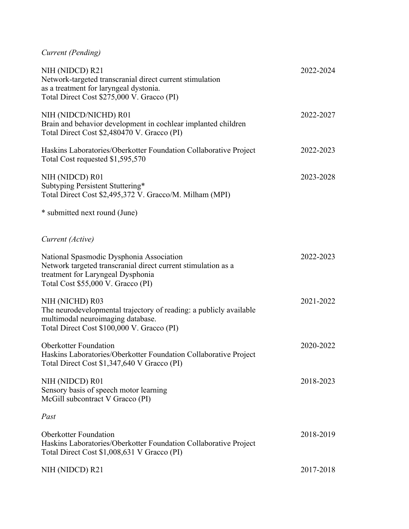|  | Current (Pending) |
|--|-------------------|
|--|-------------------|

| NIH (NIDCD) R21<br>Network-targeted transcranial direct current stimulation<br>as a treatment for laryngeal dystonia.<br>Total Direct Cost \$275,000 V. Gracco (PI)                  | 2022-2024 |
|--------------------------------------------------------------------------------------------------------------------------------------------------------------------------------------|-----------|
| NIH (NIDCD/NICHD) R01<br>Brain and behavior development in cochlear implanted children<br>Total Direct Cost \$2,480470 V. Gracco (PI)                                                | 2022-2027 |
| Haskins Laboratories/Oberkotter Foundation Collaborative Project<br>Total Cost requested \$1,595,570                                                                                 | 2022-2023 |
| NIH (NIDCD) R01<br>Subtyping Persistent Stuttering*<br>Total Direct Cost \$2,495,372 V. Gracco/M. Milham (MPI)                                                                       | 2023-2028 |
| * submitted next round (June)                                                                                                                                                        |           |
| Current (Active)                                                                                                                                                                     |           |
| National Spasmodic Dysphonia Association<br>Network targeted transcranial direct current stimulation as a<br>treatment for Laryngeal Dysphonia<br>Total Cost \$55,000 V. Gracco (PI) | 2022-2023 |
| NIH (NICHD) R03<br>The neurodevelopmental trajectory of reading: a publicly available<br>multimodal neuroimaging database.<br>Total Direct Cost \$100,000 V. Gracco (PI)             | 2021-2022 |
| <b>Oberkotter Foundation</b><br>Haskins Laboratories/Oberkotter Foundation Collaborative Project<br>Total Direct Cost \$1,347,640 V Gracco (PI)                                      | 2020-2022 |
| NIH (NIDCD) R01<br>Sensory basis of speech motor learning<br>McGill subcontract V Gracco (PI)                                                                                        | 2018-2023 |
| Past                                                                                                                                                                                 |           |
| <b>Oberkotter Foundation</b><br>Haskins Laboratories/Oberkotter Foundation Collaborative Project<br>Total Direct Cost \$1,008,631 V Gracco (PI)                                      | 2018-2019 |
| NIH (NIDCD) R21                                                                                                                                                                      | 2017-2018 |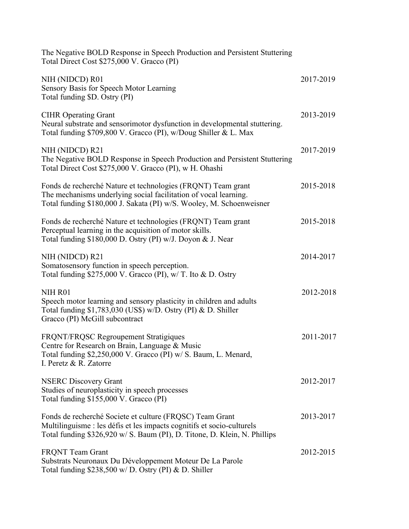| The Negative BOLD Response in Speech Production and Persistent Stuttering<br>Total Direct Cost \$275,000 V. Gracco (PI)                                                                                         |           |
|-----------------------------------------------------------------------------------------------------------------------------------------------------------------------------------------------------------------|-----------|
| NIH (NIDCD) R01<br>Sensory Basis for Speech Motor Learning<br>Total funding \$D. Ostry (PI)                                                                                                                     | 2017-2019 |
| <b>CIHR Operating Grant</b><br>Neural substrate and sensorimotor dysfunction in developmental stuttering.<br>Total funding \$709,800 V. Gracco (PI), w/Doug Shiller & L. Max                                    | 2013-2019 |
| NIH (NIDCD) R21<br>The Negative BOLD Response in Speech Production and Persistent Stuttering<br>Total Direct Cost \$275,000 V. Gracco (PI), w H. Ohashi                                                         | 2017-2019 |
| Fonds de recherché Nature et technologies (FRQNT) Team grant<br>The mechanisms underlying social facilitation of vocal learning.<br>Total funding \$180,000 J. Sakata (PI) w/S. Wooley, M. Schoenweisner        | 2015-2018 |
| Fonds de recherché Nature et technologies (FRQNT) Team grant<br>Perceptual learning in the acquisition of motor skills.<br>Total funding \$180,000 D. Ostry (PI) w/J. Doyon & J. Near                           | 2015-2018 |
| NIH (NIDCD) R21<br>Somatosensory function in speech perception.<br>Total funding $$275,000$ V. Gracco (PI), w/ T. Ito & D. Ostry                                                                                | 2014-2017 |
| NIH R01<br>Speech motor learning and sensory plasticity in children and adults<br>Total funding $$1,783,030$ (US\$) w/D. Ostry (PI) & D. Shiller<br>Gracco (PI) McGill subcontract                              | 2012-2018 |
| FRQNT/FRQSC Regroupement Stratigiques<br>Centre for Research on Brain, Language & Music<br>Total funding \$2,250,000 V. Gracco (PI) w/ S. Baum, L. Menard,<br>I. Peretz & R. Zatorre                            | 2011-2017 |
| <b>NSERC Discovery Grant</b><br>Studies of neuroplasticity in speech processes<br>Total funding \$155,000 V. Gracco (PI)                                                                                        | 2012-2017 |
| Fonds de recherché Societe et culture (FRQSC) Team Grant<br>Multilinguisme : les défis et les impacts cognitifs et socio-culturels<br>Total funding \$326,920 w/ S. Baum (PI), D. Titone, D. Klein, N. Phillips | 2013-2017 |
| <b>FRQNT</b> Team Grant<br>Substrats Neuronaux Du Développement Moteur De La Parole<br>Total funding $$238,500 \text{ w/D}$ . Ostry (PI) & D. Shiller                                                           | 2012-2015 |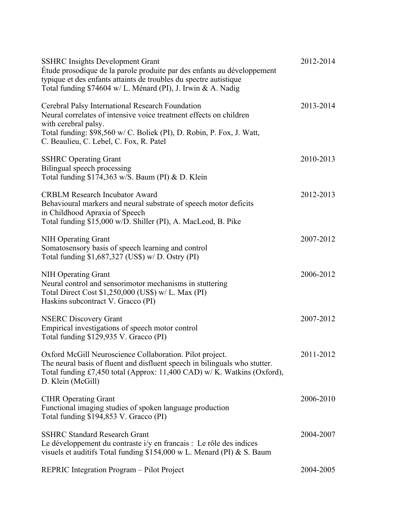| <b>SSHRC</b> Insights Development Grant<br>Étude prosodique de la parole produite par des enfants au développement<br>typique et des enfants attaints de troubles du spectre autistique<br>Total funding \$74604 w/L. Ménard (PI), J. Irwin & A. Nadig | 2012-2014 |
|--------------------------------------------------------------------------------------------------------------------------------------------------------------------------------------------------------------------------------------------------------|-----------|
| Cerebral Palsy International Research Foundation<br>Neural correlates of intensive voice treatment effects on children<br>with cerebral palsy.                                                                                                         | 2013-2014 |
| Total funding: \$98,560 w/ C. Boliek (PI), D. Robin, P. Fox, J. Watt,<br>C. Beaulieu, C. Lebel, C. Fox, R. Patel                                                                                                                                       |           |
| <b>SSHRC Operating Grant</b><br>Bilingual speech processing<br>Total funding \$174,363 w/S. Baum (PI) & D. Klein                                                                                                                                       | 2010-2013 |
| <b>CRBLM Research Incubator Award</b><br>Behavioural markers and neural substrate of speech motor deficits<br>in Childhood Apraxia of Speech<br>Total funding \$15,000 w/D. Shiller (PI), A. MacLeod, B. Pike                                          | 2012-2013 |
| <b>NIH Operating Grant</b><br>Somatosensory basis of speech learning and control<br>Total funding $$1,687,327$ (US\$) w/D. Ostry (PI)                                                                                                                  | 2007-2012 |
| NIH Operating Grant<br>Neural control and sensorimotor mechanisms in stuttering<br>Total Direct Cost \$1,250,000 (US\$) w/ L. Max (PI)<br>Haskins subcontract V. Gracco (PI)                                                                           | 2006-2012 |
| <b>NSERC Discovery Grant</b><br>Empirical investigations of speech motor control<br>Total funding \$129,935 V. Gracco (PI)                                                                                                                             | 2007-2012 |
| Oxford McGill Neuroscience Collaboration. Pilot project.<br>The neural basis of fluent and disfluent speech in bilinguals who stutter.<br>Total funding £7,450 total (Approx: 11,400 CAD) w/ K. Watkins (Oxford),<br>D. Klein (McGill)                 | 2011-2012 |
| <b>CIHR Operating Grant</b><br>Functional imaging studies of spoken language production<br>Total funding \$194,853 V. Gracco (PI)                                                                                                                      | 2006-2010 |
| <b>SSHRC Standard Research Grant</b><br>Le développement du contraste i/y en francais : Le rôle des indices<br>visuels et auditifs Total funding $$154,000 \text{ w L}$ . Menard (PI) & S. Baum                                                        | 2004-2007 |
| REPRIC Integration Program - Pilot Project                                                                                                                                                                                                             | 2004-2005 |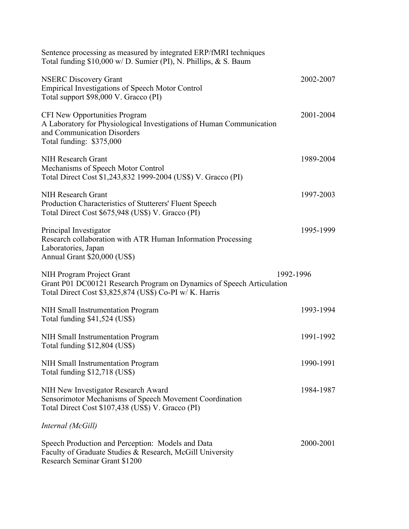| Sentence processing as measured by integrated ERP/fMRI techniques<br>Total funding \$10,000 w/ D. Sumier (PI), N. Phillips, & S. Baum                                      |           |
|----------------------------------------------------------------------------------------------------------------------------------------------------------------------------|-----------|
| <b>NSERC Discovery Grant</b><br><b>Empirical Investigations of Speech Motor Control</b><br>Total support \$98,000 V. Gracco (PI)                                           | 2002-2007 |
| <b>CFI New Opportunities Program</b><br>A Laboratory for Physiological Investigations of Human Communication<br>and Communication Disorders<br>Total funding: \$375,000    | 2001-2004 |
| <b>NIH Research Grant</b><br>Mechanisms of Speech Motor Control<br>Total Direct Cost \$1,243,832 1999-2004 (US\$) V. Gracco (PI)                                           | 1989-2004 |
| NIH Research Grant<br>Production Characteristics of Stutterers' Fluent Speech<br>Total Direct Cost \$675,948 (US\$) V. Gracco (PI)                                         | 1997-2003 |
| Principal Investigator<br>Research collaboration with ATR Human Information Processing<br>Laboratories, Japan<br>Annual Grant \$20,000 (US\$)                              | 1995-1999 |
| 1992-1996<br>NIH Program Project Grant<br>Grant P01 DC00121 Research Program on Dynamics of Speech Articulation<br>Total Direct Cost \$3,825,874 (US\$) Co-PI w/ K. Harris |           |
| NIH Small Instrumentation Program<br>Total funding \$41,524 (US\$)                                                                                                         | 1993-1994 |
| NIH Small Instrumentation Program<br>Total funding \$12,804 (US\$)                                                                                                         | 1991-1992 |
| NIH Small Instrumentation Program<br>Total funding \$12,718 (US\$)                                                                                                         | 1990-1991 |
| NIH New Investigator Research Award<br>Sensorimotor Mechanisms of Speech Movement Coordination<br>Total Direct Cost \$107,438 (US\$) V. Gracco (PI)                        | 1984-1987 |
| Internal (McGill)                                                                                                                                                          |           |
| Speech Production and Perception: Models and Data<br>Faculty of Graduate Studies & Research, McGill University<br>Research Seminar Grant \$1200                            | 2000-2001 |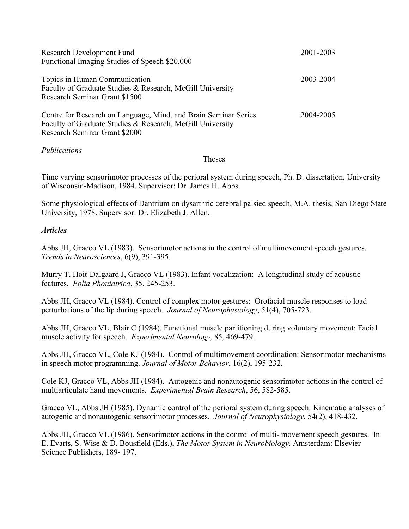| <b>Research Development Fund</b><br>Functional Imaging Studies of Speech \$20,000                                                                             | 2001-2003 |
|---------------------------------------------------------------------------------------------------------------------------------------------------------------|-----------|
| Topics in Human Communication<br>Faculty of Graduate Studies & Research, McGill University<br>Research Seminar Grant \$1500                                   | 2003-2004 |
| Centre for Research on Language, Mind, and Brain Seminar Series<br>Faculty of Graduate Studies & Research, McGill University<br>Research Seminar Grant \$2000 | 2004-2005 |

### *Publications*

#### Theses

Time varying sensorimotor processes of the perioral system during speech, Ph. D. dissertation, University of Wisconsin-Madison, 1984. Supervisor: Dr. James H. Abbs.

Some physiological effects of Dantrium on dysarthric cerebral palsied speech, M.A. thesis, San Diego State University, 1978. Supervisor: Dr. Elizabeth J. Allen.

### *Articles*

Abbs JH, Gracco VL (1983). Sensorimotor actions in the control of multimovement speech gestures. *Trends in Neurosciences*, 6(9), 391-395.

Murry T, Hoit-Dalgaard J, Gracco VL (1983). Infant vocalization: A longitudinal study of acoustic features. *Folia Phoniatrica*, 35, 245-253.

Abbs JH, Gracco VL (1984). Control of complex motor gestures: Orofacial muscle responses to load perturbations of the lip during speech. *Journal of Neurophysiology*, 51(4), 705-723.

Abbs JH, Gracco VL, Blair C (1984). Functional muscle partitioning during voluntary movement: Facial muscle activity for speech. *Experimental Neurology*, 85, 469-479.

Abbs JH, Gracco VL, Cole KJ (1984). Control of multimovement coordination: Sensorimotor mechanisms in speech motor programming. *Journal of Motor Behavior*, 16(2), 195-232.

Cole KJ, Gracco VL, Abbs JH (1984). Autogenic and nonautogenic sensorimotor actions in the control of multiarticulate hand movements. *Experimental Brain Research*, 56, 582-585.

Gracco VL, Abbs JH (1985). Dynamic control of the perioral system during speech: Kinematic analyses of autogenic and nonautogenic sensorimotor processes. *Journal of Neurophysiology*, 54(2), 418-432.

Abbs JH, Gracco VL (1986). Sensorimotor actions in the control of multi- movement speech gestures. In E. Evarts, S. Wise & D. Bousfield (Eds.), *The Motor System in Neurobiology*. Amsterdam: Elsevier Science Publishers, 189- 197.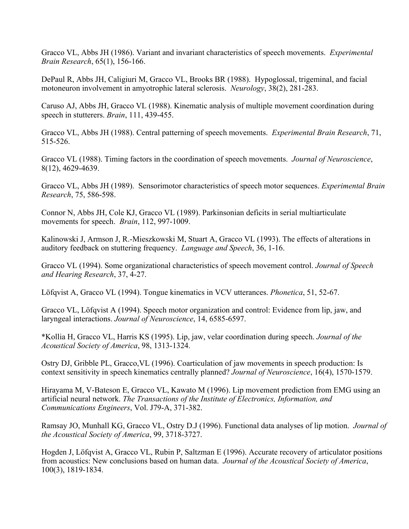Gracco VL, Abbs JH (1986). Variant and invariant characteristics of speech movements. *Experimental Brain Research*, 65(1), 156-166.

DePaul R, Abbs JH, Caligiuri M, Gracco VL, Brooks BR (1988). Hypoglossal, trigeminal, and facial motoneuron involvement in amyotrophic lateral sclerosis. *Neurology*, 38(2), 281-283.

Caruso AJ, Abbs JH, Gracco VL (1988). Kinematic analysis of multiple movement coordination during speech in stutterers. *Brain*, 111, 439-455.

Gracco VL, Abbs JH (1988). Central patterning of speech movements. *Experimental Brain Research*, 71, 515-526.

Gracco VL (1988). Timing factors in the coordination of speech movements. *Journal of Neuroscience*, 8(12), 4629-4639.

Gracco VL, Abbs JH (1989). Sensorimotor characteristics of speech motor sequences. *Experimental Brain Research*, 75, 586-598.

Connor N, Abbs JH, Cole KJ, Gracco VL (1989). Parkinsonian deficits in serial multiarticulate movements for speech. *Brain*, 112, 997-1009.

Kalinowski J, Armson J, R.-Mieszkowski M, Stuart A, Gracco VL (1993). The effects of alterations in auditory feedback on stuttering frequency. *Language and Speech*, 36, 1-16.

Gracco VL (1994). Some organizational characteristics of speech movement control. *Journal of Speech and Hearing Research*, 37, 4-27.

Löfqvist A, Gracco VL (1994). Tongue kinematics in VCV utterances. *Phonetica*, 51, 52-67.

Gracco VL, Löfqvist A (1994). Speech motor organization and control: Evidence from lip, jaw, and laryngeal interactions. *Journal of Neuroscience*, 14, 6585-6597.

\*Kollia H, Gracco VL, Harris KS (1995). Lip, jaw, velar coordination during speech. *Journal of the Acoustical Society of America*, 98, 1313-1324.

Ostry DJ, Gribble PL, Gracco,VL (1996). Coarticulation of jaw movements in speech production: Is context sensitivity in speech kinematics centrally planned? *Journal of Neuroscience*, 16(4), 1570-1579.

Hirayama M, V-Bateson E, Gracco VL, Kawato M (1996). Lip movement prediction from EMG using an artificial neural network. *The Transactions of the Institute of Electronics, Information, and Communications Engineers*, Vol. J79-A, 371-382.

Ramsay JO, Munhall KG, Gracco VL, Ostry D.J (1996). Functional data analyses of lip motion. *Journal of the Acoustical Society of America*, 99, 3718-3727.

Hogden J, Löfqvist A, Gracco VL, Rubin P, Saltzman E (1996). Accurate recovery of articulator positions from acoustics: New conclusions based on human data. *Journal of the Acoustical Society of America*, 100(3), 1819-1834.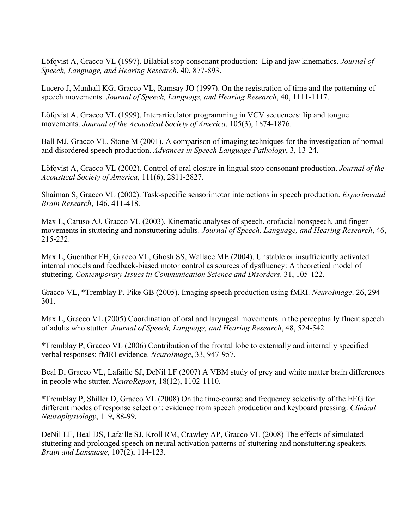Löfqvist A, Gracco VL (1997). Bilabial stop consonant production: Lip and jaw kinematics. *Journal of Speech, Language, and Hearing Research*, 40, 877-893.

Lucero J, Munhall KG, Gracco VL, Ramsay JO (1997). On the registration of time and the patterning of speech movements. *Journal of Speech, Language, and Hearing Research*, 40, 1111-1117.

Löfqvist A, Gracco VL (1999). Interarticulator programming in VCV sequences: lip and tongue movements. *Journal of the Acoustical Society of America*. 105(3), 1874-1876.

Ball MJ, Gracco VL, Stone M (2001). A comparison of imaging techniques for the investigation of normal and disordered speech production. *Advances in Speech Language Pathology*, 3, 13-24.

Löfqvist A, Gracco VL (2002). Control of oral closure in lingual stop consonant production. *Journal of the Acoustical Society of America*, 111(6), 2811-2827.

Shaiman S, Gracco VL (2002). Task-specific sensorimotor interactions in speech production. *Experimental Brain Research*, 146, 411-418.

Max L, Caruso AJ, Gracco VL (2003). Kinematic analyses of speech, orofacial nonspeech, and finger movements in stuttering and nonstuttering adults. *Journal of Speech, Language, and Hearing Research*, 46, 215-232.

Max L, Guenther FH, Gracco VL, Ghosh SS, Wallace ME (2004). Unstable or insufficiently activated internal models and feedback-biased motor control as sources of dysfluency: A theoretical model of stuttering. *Contemporary Issues in Communication Science and Disorders*. 31, 105-122.

Gracco VL, \*Tremblay P, Pike GB (2005). Imaging speech production using fMRI. *NeuroImage*. 26, 294- 301.

Max L, Gracco VL (2005) Coordination of oral and laryngeal movements in the perceptually fluent speech of adults who stutter. *Journal of Speech, Language, and Hearing Research*, 48, 524-542.

\*Tremblay P, Gracco VL (2006) Contribution of the frontal lobe to externally and internally specified verbal responses: fMRI evidence. *NeuroImage*, 33, 947-957.

Beal D, Gracco VL, Lafaille SJ, DeNil LF (2007) A VBM study of grey and white matter brain differences in people who stutter. *NeuroReport*, 18(12), 1102-1110.

\*Tremblay P, Shiller D, Gracco VL (2008) On the time-course and frequency selectivity of the EEG for different modes of response selection: evidence from speech production and keyboard pressing. *Clinical Neurophysiology*, 119, 88-99.

DeNil LF, Beal DS, Lafaille SJ, Kroll RM, Crawley AP, Gracco VL (2008) The effects of simulated stuttering and prolonged speech on neural activation patterns of stuttering and nonstuttering speakers. *Brain and Language*, 107(2), 114-123.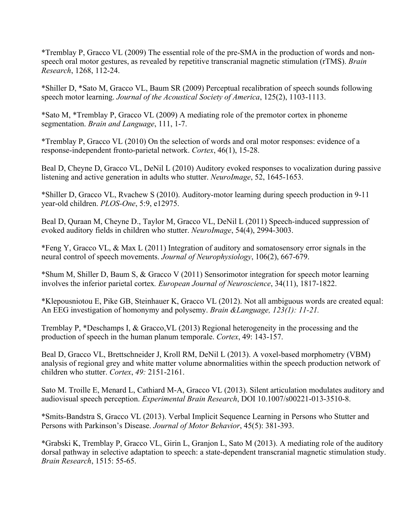\*Tremblay P, Gracco VL (2009) The essential role of the pre-SMA in the production of words and nonspeech oral motor gestures, as revealed by repetitive transcranial magnetic stimulation (rTMS). *Brain Research*, 1268, 112-24.

\*Shiller D, \*Sato M, Gracco VL, Baum SR (2009) Perceptual recalibration of speech sounds following speech motor learning. *Journal of the Acoustical Society of America*, 125(2), 1103-1113.

\*Sato M, \*Tremblay P, Gracco VL (2009) A mediating role of the premotor cortex in phoneme segmentation. *Brain and Language*, 111, 1-7.

\*Tremblay P, Gracco VL (2010) On the selection of words and oral motor responses: evidence of a response-independent fronto-parietal network. *Cortex*, 46(1), 15-28.

Beal D, Cheyne D, Gracco VL, DeNil L (2010) Auditory evoked responses to vocalization during passive listening and active generation in adults who stutter. *NeuroImage*, 52, 1645-1653.

\*Shiller D, Gracco VL, Rvachew S (2010). Auditory-motor learning during speech production in 9-11 year-old children. *PLOS-One*, 5:9, e12975.

Beal D, Quraan M, Cheyne D., Taylor M, Gracco VL, DeNil L (2011) Speech-induced suppression of evoked auditory fields in children who stutter. *NeuroImage*, 54(4), 2994-3003.

\*Feng Y, Gracco VL, & Max L (2011) Integration of auditory and somatosensory error signals in the neural control of speech movements. *Journal of Neurophysiology*, 106(2), 667-679.

\*Shum M, Shiller D, Baum S, & Gracco V (2011) Sensorimotor integration for speech motor learning involves the inferior parietal cortex*. European Journal of Neuroscience*, 34(11), 1817-1822.

\*Klepousniotou E, Pike GB, Steinhauer K, Gracco VL (2012). Not all ambiguous words are created equal: An EEG investigation of homonymy and polysemy. *Brain &Language, 123(1): 11-21.*

Tremblay P, \*Deschamps I, & Gracco,VL (2013) Regional heterogeneity in the processing and the production of speech in the human planum temporale. *Cortex*, 49: 143-157.

Beal D, Gracco VL, Brettschneider J, Kroll RM, DeNil L (2013). A voxel-based morphometry (VBM) analysis of regional grey and white matter volume abnormalities within the speech production network of children who stutter. *Cortex*, *49:* 2151-2161.

Sato M. Troille E, Menard L, Cathiard M-A, Gracco VL (2013). Silent articulation modulates auditory and audiovisual speech perception. *Experimental Brain Research*, DOI 10.1007/s00221-013-3510-8.

\*Smits-Bandstra S, Gracco VL (2013). Verbal Implicit Sequence Learning in Persons who Stutter and Persons with Parkinson's Disease. *Journal of Motor Behavior*, 45(5): 381-393.

\*Grabski K, Tremblay P, Gracco VL, Girin L, Granjon L, Sato M (2013). A mediating role of the auditory dorsal pathway in selective adaptation to speech: a state-dependent transcranial magnetic stimulation study. *Brain Research*, 1515: 55-65.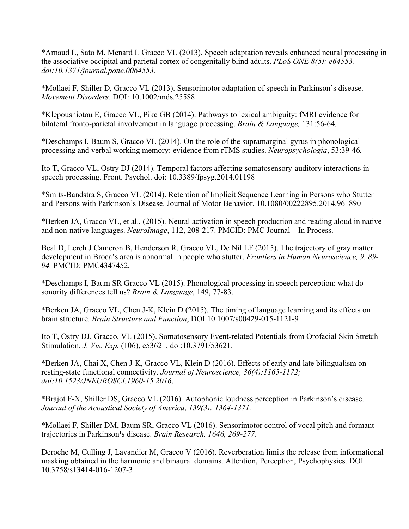\*Arnaud L, Sato M, Menard L Gracco VL (2013). Speech adaptation reveals enhanced neural processing in the associative occipital and parietal cortex of congenitally blind adults. *PLoS ONE 8(5): e64553. doi:10.1371/journal.pone.0064553.*

\*Mollaei F, Shiller D, Gracco VL (2013). Sensorimotor adaptation of speech in Parkinson's disease. *Movement Disorders*. DOI: 10.1002/mds.25588

\*Klepousniotou E, Gracco VL, Pike GB (2014). Pathways to lexical ambiguity: fMRI evidence for bilateral fronto-parietal involvement in language processing. *Brain & Language,* 131:56-64*.*

\*Deschamps I, Baum S, Gracco VL (2014). On the role of the supramarginal gyrus in phonological processing and verbal working memory: evidence from rTMS studies. *Neuropsychologia*, 53:39-46*.*

Ito T, Gracco VL, Ostry DJ (2014). Temporal factors affecting somatosensory-auditory interactions in speech processing. Front. Psychol. doi: 10.3389/fpsyg.2014.01198

\*Smits-Bandstra S, Gracco VL (2014). Retention of Implicit Sequence Learning in Persons who Stutter and Persons with Parkinson's Disease. Journal of Motor Behavior. 10.1080/00222895.2014.961890

\*Berken JA, Gracco VL, et al., (2015). Neural activation in speech production and reading aloud in native and non-native languages. *NeuroImage*, 112, 208-217. PMCID: PMC Journal – In Process.

Beal D, Lerch J Cameron B, Henderson R, Gracco VL, De Nil LF (2015). The trajectory of gray matter development in Broca's area is abnormal in people who stutter. *Frontiers in Human Neuroscience, 9, 89- 94.* PMCID: PMC4347452*.*

\*Deschamps I, Baum SR Gracco VL (2015). Phonological processing in speech perception: what do sonority differences tell us? *Brain & Language*, 149, 77-83.

\*Berken JA, Gracco VL, Chen J-K, Klein D (2015). The timing of language learning and its effects on brain structure*. Brain Structure and Function*, DOI 10.1007/s00429-015-1121-9

Ito T, Ostry DJ, Gracco, VL (2015). Somatosensory Event-related Potentials from Orofacial Skin Stretch Stimulation. *J. Vis. Exp.* (106), e53621, doi:10.3791/53621.

\*Berken JA, Chai X, Chen J-K, Gracco VL, Klein D (2016). Effects of early and late bilingualism on resting-state functional connectivity. *Journal of Neuroscience, 36(4):1165-1172; doi:10.1523/JNEUROSCI.1960-15.2016*.

\*Brajot F-X, Shiller DS, Gracco VL (2016). Autophonic loudness perception in Parkinson's disease. *Journal of the Acoustical Society of America, 139(3): 1364-1371.*

\*Mollaei F, Shiller DM, Baum SR, Gracco VL (2016). Sensorimotor control of vocal pitch and formant trajectories in Parkinson<sup>1</sup>s disease. *Brain Research, 1646, 269-277*.

Deroche M, Culling J, Lavandier M, Gracco V (2016). Reverberation limits the release from informational masking obtained in the harmonic and binaural domains. Attention, Perception, Psychophysics. DOI 10.3758/s13414-016-1207-3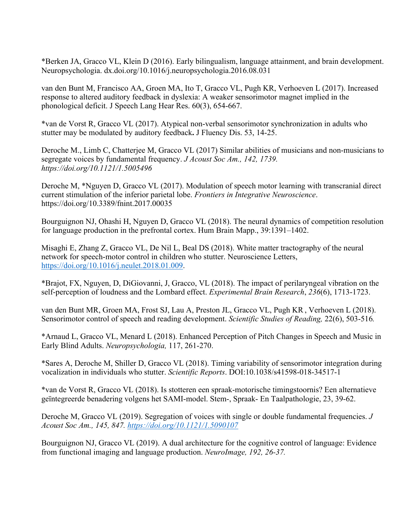\*Berken JA, Gracco VL, Klein D (2016). Early bilingualism, language attainment, and brain development. Neuropsychologia. dx.doi.org/10.1016/j.neuropsychologia.2016.08.031

van den Bunt M, Francisco AA, Groen MA, Ito T, Gracco VL, Pugh KR, Verhoeven L (2017). Increased response to altered auditory feedback in dyslexia: A weaker sensorimotor magnet implied in the phonological deficit. J Speech Lang Hear Res. 60(3), 654-667.

\*van de Vorst R, Gracco VL (2017). Atypical non-verbal sensorimotor synchronization in adults who stutter may be modulated by auditory feedback**.** J Fluency Dis. 53, 14-25.

Deroche M., Limb C, Chatterjee M, Gracco VL (2017) Similar abilities of musicians and non-musicians to segregate voices by fundamental frequency. *J Acoust Soc Am., 142, 1739. https://doi.org/10.1121/1.5005496*

Deroche M, \*Nguyen D, Gracco VL (2017). Modulation of speech motor learning with transcranial direct current stimulation of the inferior parietal lobe. *Frontiers in Integrative Neuroscience*. https://doi.org/10.3389/fnint.2017.00035

Bourguignon NJ, Ohashi H, Nguyen D, Gracco VL (2018). The neural dynamics of competition resolution for language production in the prefrontal cortex. Hum Brain Mapp., 39:1391–1402.

Misaghi E, Zhang Z, Gracco VL, De Nil L, Beal DS (2018). White matter tractography of the neural network for speech-motor control in children who stutter. Neuroscience Letters, https://doi.org/10.1016/j.neulet.2018.01.009.

\*Brajot, FX, Nguyen, D, DiGiovanni, J, Gracco, VL (2018). The impact of perilaryngeal vibration on the self-perception of loudness and the Lombard effect. *Experimental Brain Research*, *236*(6), 1713-1723.

van den Bunt MR, Groen MA, Frost SJ, Lau A, Preston JL, Gracco VL, Pugh KR, Verhoeven L (2018). Sensorimotor control of speech and reading development. *Scientific Studies of Reading,* 22(6), 503-516*.*

\*Arnaud L, Gracco VL, Menard L (2018). Enhanced Perception of Pitch Changes in Speech and Music in Early Blind Adults. *Neuropsychologia,* 117, 261-270.

\*Sares A, Deroche M, Shiller D, Gracco VL (2018). Timing variability of sensorimotor integration during vocalization in individuals who stutter. *Scientific Reports*. DOI:10.1038/s41598-018-34517-1

\*van de Vorst R, Gracco VL (2018). Is stotteren een spraak-motorische timingstoornis? Een alternatieve geïntegreerde benadering volgens het SAMI-model. Stem-, Spraak- En Taalpathologie, 23, 39-62.

Deroche M, Gracco VL (2019). Segregation of voices with single or double fundamental frequencies. *J Acoust Soc Am., 145, 847. https://doi.org/10.1121/1.5090107*

Bourguignon NJ, Gracco VL (2019). A dual architecture for the cognitive control of language: Evidence from functional imaging and language production. *NeuroImage, 192, 26-37.*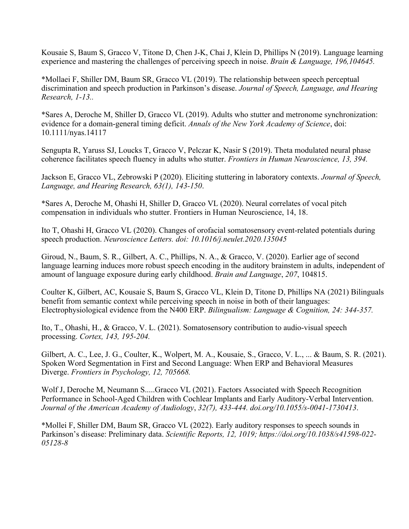Kousaie S, Baum S, Gracco V, Titone D, Chen J-K, Chai J, Klein D, Phillips N (2019). Language learning experience and mastering the challenges of perceiving speech in noise. *Brain & Language, 196,104645.*

\*Mollaei F, Shiller DM, Baum SR, Gracco VL (2019). The relationship between speech perceptual discrimination and speech production in Parkinson's disease. *Journal of Speech, Language, and Hearing Research, 1-13..*

\*Sares A, Deroche M, Shiller D, Gracco VL (2019). Adults who stutter and metronome synchronization: evidence for a domain-general timing deficit. *Annals of the New York Academy of Science*, doi: 10.1111/nyas.14117

Sengupta R, Yaruss SJ, Loucks T, Gracco V, Pelczar K, Nasir S (2019). Theta modulated neural phase coherence facilitates speech fluency in adults who stutter. *Frontiers in Human Neuroscience, 13, 394.*

Jackson E, Gracco VL, Zebrowski P (2020). Eliciting stuttering in laboratory contexts. *Journal of Speech, Language, and Hearing Research, 63(1), 143-150*.

\*Sares A, Deroche M, Ohashi H, Shiller D, Gracco VL (2020). Neural correlates of vocal pitch compensation in individuals who stutter. Frontiers in Human Neuroscience, 14, 18.

Ito T, Ohashi H, Gracco VL (2020). Changes of orofacial somatosensory event-related potentials during speech production. *Neuroscience Letters. doi: 10.1016/j.neulet.2020.135045*

Giroud, N., Baum, S. R., Gilbert, A. C., Phillips, N. A., & Gracco, V. (2020). Earlier age of second language learning induces more robust speech encoding in the auditory brainstem in adults, independent of amount of language exposure during early childhood. *Brain and Language*, *207*, 104815.

Coulter K, Gilbert, AC, Kousaie S, Baum S, Gracco VL, Klein D, Titone D, Phillips NA (2021) Bilinguals benefit from semantic context while perceiving speech in noise in both of their languages: Electrophysiological evidence from the N400 ERP. *Bilingualism: Language & Cognition, 24: 344-357.*

Ito, T., Ohashi, H., & Gracco, V. L. (2021). Somatosensory contribution to audio-visual speech processing. *Cortex, 143, 195-204.*

Gilbert, A. C., Lee, J. G., Coulter, K., Wolpert, M. A., Kousaie, S., Gracco, V. L., ... & Baum, S. R. (2021). Spoken Word Segmentation in First and Second Language: When ERP and Behavioral Measures Diverge. *Frontiers in Psychology, 12, 705668.*

Wolf J, Deroche M, Neumann S.....Gracco VL (2021). Factors Associated with Speech Recognition Performance in School-Aged Children with Cochlear Implants and Early Auditory-Verbal Intervention. *Journal of the American Academy of Audiology*, *32(7), 433-444. doi.org/10.1055/s-0041-1730413*.

\*Mollei F, Shiller DM, Baum SR, Gracco VL (2022). Early auditory responses to speech sounds in Parkinson's disease: Preliminary data. *Scientific Reports, 12, 1019; https://doi.org/10.1038/s41598-022- 05128-8*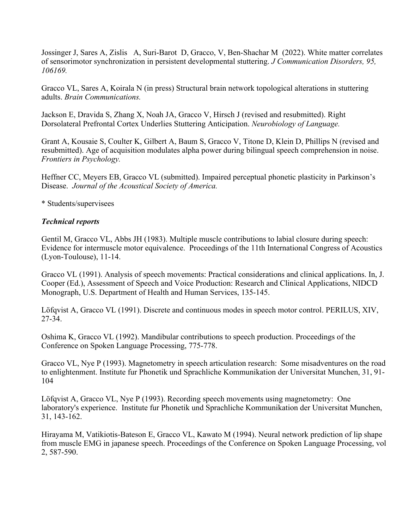Jossinger J, Sares A, Zislis A, Suri-Barot D, Gracco, V, Ben-Shachar M (2022). White matter correlates of sensorimotor synchronization in persistent developmental stuttering. *J Communication Disorders, 95, 106169.*

Gracco VL, Sares A, Koirala N (in press) Structural brain network topological alterations in stuttering adults. *Brain Communications.*

Jackson E, Dravida S, Zhang X, Noah JA, Gracco V, Hirsch J (revised and resubmitted). Right Dorsolateral Prefrontal Cortex Underlies Stuttering Anticipation. *Neurobiology of Language.*

Grant A, Kousaie S, Coulter K, Gilbert A, Baum S, Gracco V, Titone D, Klein D, Phillips N (revised and resubmitted). Age of acquisition modulates alpha power during bilingual speech comprehension in noise. *Frontiers in Psychology.*

Heffner CC, Meyers EB, Gracco VL (submitted). Impaired perceptual phonetic plasticity in Parkinson's Disease. *Journal of the Acoustical Society of America.*

\* Students/supervisees

### *Technical reports*

Gentil M, Gracco VL, Abbs JH (1983). Multiple muscle contributions to labial closure during speech: Evidence for intermuscle motor equivalence. Proceedings of the 11th International Congress of Acoustics (Lyon-Toulouse), 11-14.

Gracco VL (1991). Analysis of speech movements: Practical considerations and clinical applications. In, J. Cooper (Ed.), Assessment of Speech and Voice Production: Research and Clinical Applications, NIDCD Monograph, U.S. Department of Health and Human Services, 135-145.

Löfqvist A, Gracco VL (1991). Discrete and continuous modes in speech motor control. PERILUS, XIV, 27-34.

Oshima K, Gracco VL (1992). Mandibular contributions to speech production. Proceedings of the Conference on Spoken Language Processing, 775-778.

Gracco VL, Nye P (1993). Magnetometry in speech articulation research: Some misadventures on the road to enlightenment. Institute fur Phonetik und Sprachliche Kommunikation der Universitat Munchen, 31, 91- 104

Löfqvist A, Gracco VL, Nye P (1993). Recording speech movements using magnetometry: One laboratory's experience. Institute fur Phonetik und Sprachliche Kommunikation der Universitat Munchen, 31, 143-162.

Hirayama M, Vatikiotis-Bateson E, Gracco VL, Kawato M (1994). Neural network prediction of lip shape from muscle EMG in japanese speech. Proceedings of the Conference on Spoken Language Processing, vol 2, 587-590.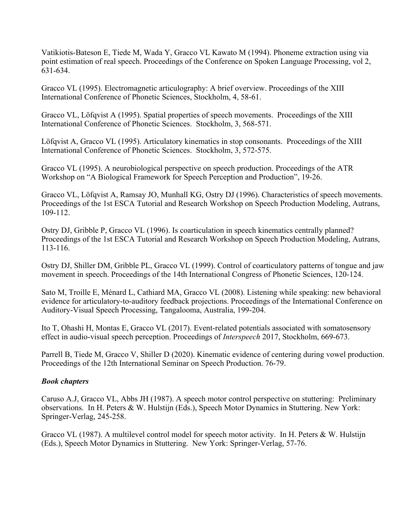Vatikiotis-Bateson E, Tiede M, Wada Y, Gracco VL Kawato M (1994). Phoneme extraction using via point estimation of real speech. Proceedings of the Conference on Spoken Language Processing, vol 2, 631-634.

Gracco VL (1995). Electromagnetic articulography: A brief overview. Proceedings of the XIII International Conference of Phonetic Sciences, Stockholm, 4, 58-61.

Gracco VL, Löfqvist A (1995). Spatial properties of speech movements. Proceedings of the XIII International Conference of Phonetic Sciences. Stockholm, 3, 568-571.

Löfqvist A, Gracco VL (1995). Articulatory kinematics in stop consonants. Proceedings of the XIII International Conference of Phonetic Sciences. Stockholm, 3, 572-575.

Gracco VL (1995). A neurobiological perspective on speech production. Proceedings of the ATR Workshop on "A Biological Framework for Speech Perception and Production", 19-26.

Gracco VL, Löfqvist A, Ramsay JO, Munhall KG, Ostry DJ (1996). Characteristics of speech movements. Proceedings of the 1st ESCA Tutorial and Research Workshop on Speech Production Modeling, Autrans, 109-112.

Ostry DJ, Gribble P, Gracco VL (1996). Is coarticulation in speech kinematics centrally planned? Proceedings of the 1st ESCA Tutorial and Research Workshop on Speech Production Modeling, Autrans, 113-116.

Ostry DJ, Shiller DM, Gribble PL, Gracco VL (1999). Control of coarticulatory patterns of tongue and jaw movement in speech. Proceedings of the 14th International Congress of Phonetic Sciences, 120-124.

Sato M, Troille E, Ménard L, Cathiard MA, Gracco VL (2008). Listening while speaking: new behavioral evidence for articulatory-to-auditory feedback projections. Proceedings of the International Conference on Auditory-Visual Speech Processing, Tangalooma, Australia, 199-204.

Ito T, Ohashi H, Montas E, Gracco VL (2017). Event-related potentials associated with somatosensory effect in audio-visual speech perception. Proceedings of *Interspeech* 2017, Stockholm, 669-673.

Parrell B, Tiede M, Gracco V, Shiller D (2020). Kinematic evidence of centering during vowel production. Proceedings of the 12th International Seminar on Speech Production. 76-79.

### *Book chapters*

Caruso A.J, Gracco VL, Abbs JH (1987). A speech motor control perspective on stuttering: Preliminary observations. In H. Peters & W. Hulstijn (Eds.), Speech Motor Dynamics in Stuttering. New York: Springer-Verlag, 245-258.

Gracco VL (1987). A multilevel control model for speech motor activity. In H. Peters & W. Hulstijn (Eds.), Speech Motor Dynamics in Stuttering. New York: Springer-Verlag, 57-76.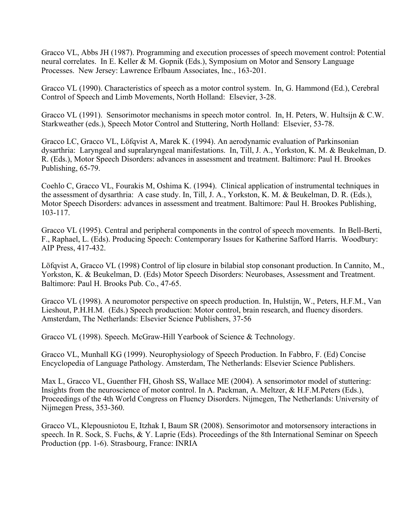Gracco VL, Abbs JH (1987). Programming and execution processes of speech movement control: Potential neural correlates. In E. Keller & M. Gopnik (Eds.), Symposium on Motor and Sensory Language Processes. New Jersey: Lawrence Erlbaum Associates, Inc., 163-201.

Gracco VL (1990). Characteristics of speech as a motor control system. In, G. Hammond (Ed.), Cerebral Control of Speech and Limb Movements, North Holland: Elsevier, 3-28.

Gracco VL (1991). Sensorimotor mechanisms in speech motor control. In, H. Peters, W. Hultsijn & C.W. Starkweather (eds.), Speech Motor Control and Stuttering, North Holland: Elsevier, 53-78.

Gracco LC, Gracco VL, Löfqvist A, Marek K. (1994). An aerodynamic evaluation of Parkinsonian dysarthria: Laryngeal and supralaryngeal manifestations. In, Till, J. A., Yorkston, K. M. & Beukelman, D. R. (Eds.), Motor Speech Disorders: advances in assessment and treatment. Baltimore: Paul H. Brookes Publishing, 65-79.

Coehlo C, Gracco VL, Fourakis M, Oshima K. (1994). Clinical application of instrumental techniques in the assessment of dysarthria: A case study. In, Till, J. A., Yorkston, K. M. & Beukelman, D. R. (Eds.), Motor Speech Disorders: advances in assessment and treatment. Baltimore: Paul H. Brookes Publishing, 103-117.

Gracco VL (1995). Central and peripheral components in the control of speech movements. In Bell-Berti, F., Raphael, L. (Eds). Producing Speech: Contemporary Issues for Katherine Safford Harris. Woodbury: AIP Press, 417-432.

Löfqvist A, Gracco VL (1998) Control of lip closure in bilabial stop consonant production. In Cannito, M., Yorkston, K. & Beukelman, D. (Eds) Motor Speech Disorders: Neurobases, Assessment and Treatment. Baltimore: Paul H. Brooks Pub. Co., 47-65.

Gracco VL (1998). A neuromotor perspective on speech production. In, Hulstijn, W., Peters, H.F.M., Van Lieshout, P.H.H.M. (Eds.) Speech production: Motor control, brain research, and fluency disorders. Amsterdam, The Netherlands: Elsevier Science Publishers, 37-56

Gracco VL (1998). Speech. McGraw-Hill Yearbook of Science & Technology.

Gracco VL, Munhall KG (1999). Neurophysiology of Speech Production. In Fabbro, F. (Ed) Concise Encyclopedia of Language Pathology. Amsterdam, The Netherlands: Elsevier Science Publishers.

Max L, Gracco VL, Guenther FH, Ghosh SS, Wallace ME (2004). A sensorimotor model of stuttering: Insights from the neuroscience of motor control. In A. Packman, A. Meltzer, & H.F.M.Peters (Eds.), Proceedings of the 4th World Congress on Fluency Disorders. Nijmegen, The Netherlands: University of Nijmegen Press, 353-360.

Gracco VL, Klepousniotou E, Itzhak I, Baum SR (2008). Sensorimotor and motorsensory interactions in speech. In R. Sock, S. Fuchs, & Y. Laprie (Eds). Proceedings of the 8th International Seminar on Speech Production (pp. 1-6). Strasbourg, France: INRIA